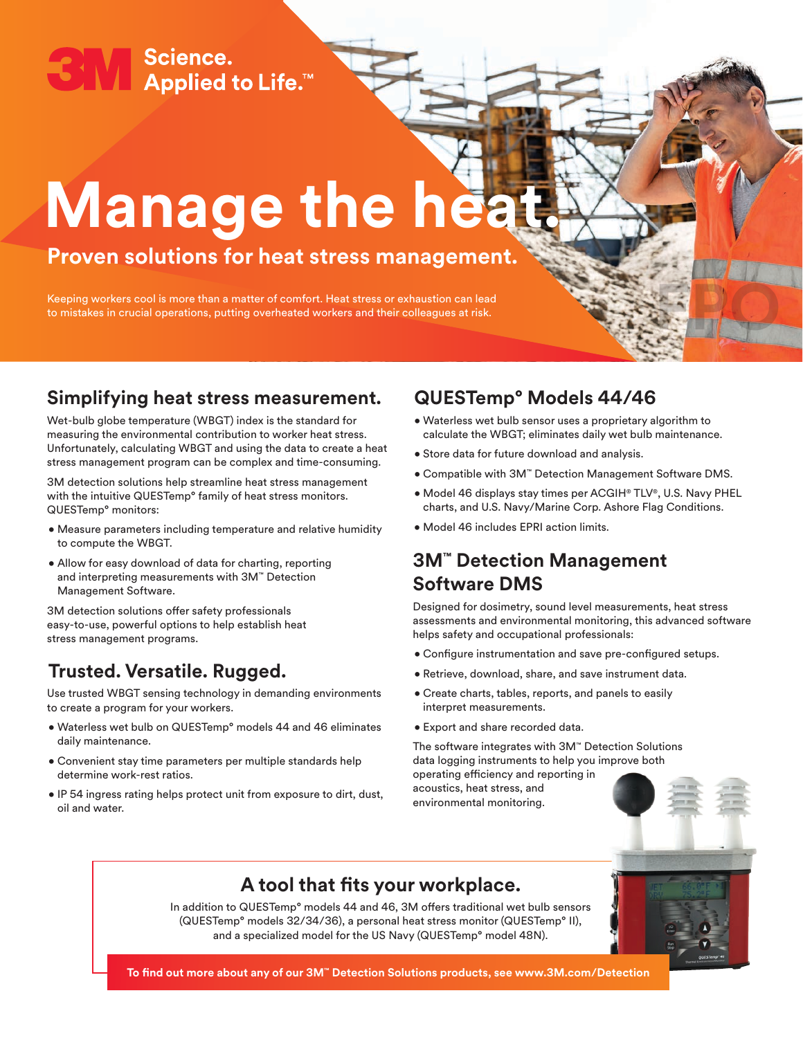Science. **Applied to Life.™** 

# **Manage the heat.**

# **Proven solutions for heat stress management.**

Keeping workers cool is more than a matter of comfort. Heat stress or exhaustion can lead to mistakes in crucial operations, putting overheated workers and their colleagues at risk.

#### **Simplifying heat stress measurement.**

Wet-bulb globe temperature (WBGT) index is the standard for measuring the environmental contribution to worker heat stress. Unfortunately, calculating WBGT and using the data to create a heat stress management program can be complex and time-consuming.

3M detection solutions help streamline heat stress management with the intuitive QUESTemp° family of heat stress monitors. QUESTemp° monitors:

- Measure parameters including temperature and relative humidity to compute the WBGT.
- Allow for easy download of data for charting, reporting and interpreting measurements with 3M™ Detection Management Software.

3M detection solutions offer safety professionals easy-to-use, powerful options to help establish heat stress management programs.

## **Trusted. Versatile. Rugged.**

Use trusted WBGT sensing technology in demanding environments to create a program for your workers.

- Waterless wet bulb on QUESTemp° models 44 and 46 eliminates daily maintenance.
- Convenient stay time parameters per multiple standards help determine work-rest ratios.
- IP 54 ingress rating helps protect unit from exposure to dirt, dust, oil and water.

### **QUESTemp° Models 44/46**

- Waterless wet bulb sensor uses a proprietary algorithm to calculate the WBGT; eliminates daily wet bulb maintenance.
- Store data for future download and analysis.
- Compatible with 3M™ Detection Management Software DMS.
- Model 46 displays stay times per ACGIH® TLV®, U.S. Navy PHEL charts, and U.S. Navy/Marine Corp. Ashore Flag Conditions.
- Model 46 includes EPRI action limits.

#### **3M™ Detection Management Software DMS**

Designed for dosimetry, sound level measurements, heat stress assessments and environmental monitoring, this advanced software helps safety and occupational professionals:

- Configure instrumentation and save pre-configured setups.
- Retrieve, download, share, and save instrument data.
- Create charts, tables, reports, and panels to easily interpret measurements.
- Export and share recorded data.

The software integrates with 3M™ Detection Solutions data logging instruments to help you improve both operating efficiency and reporting in

acoustics, heat stress, and environmental monitoring.



**FPO**

## **A tool that fits your workplace.**

In addition to QUESTemp° models 44 and 46, 3M offers traditional wet bulb sensors (QUESTemp° models 32/34/36), a personal heat stress monitor (QUESTemp° II), and a specialized model for the US Navy (QUESTemp° model 48N).



**To find out more about any of our 3M™ Detection Solutions products, see www.3M.com/Detection**